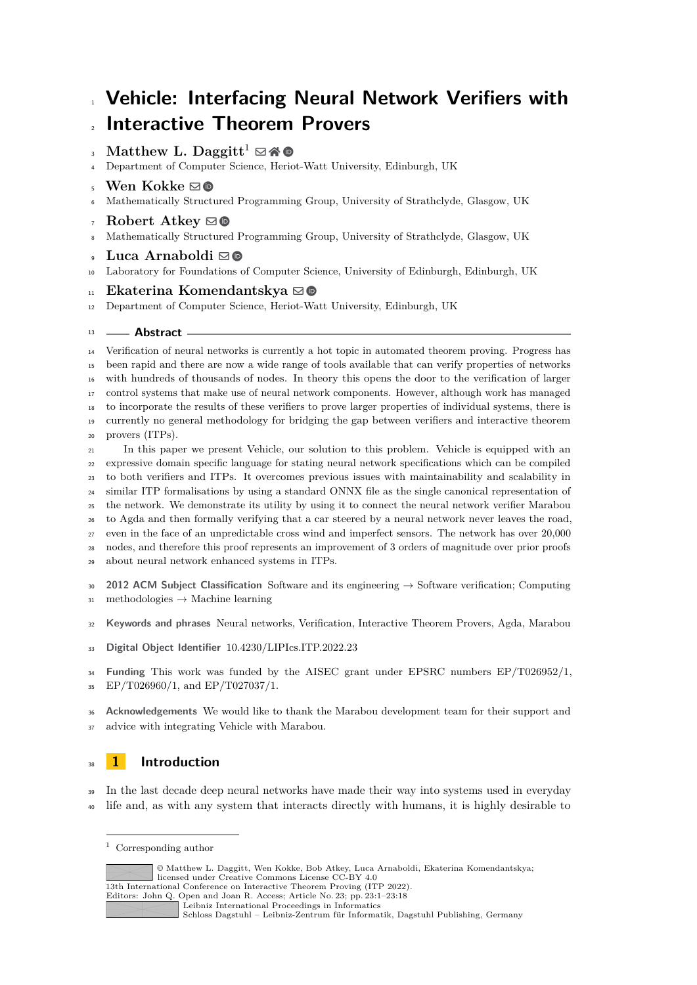# **Vehicle: Interfacing Neural Network Verifiers with Interactive Theorem Provers**

# $_3$  Matthew L. Daggitt<sup>1</sup>  $\boxdot$  **40**

- Department of Computer Science, Heriot-Watt University, Edinburgh, UK
- **Wen Kokke** ⊠<sup>®</sup>
- Mathematically Structured Programming Group, University of Strathclyde, Glasgow, UK
- Robert Atkey  $\boxdot$
- Mathematically Structured Programming Group, University of Strathclyde, Glasgow, UK

## • Luca Arnaboldi ⊠**®**

Laboratory for Foundations of Computer Science, University of Edinburgh, Edinburgh, UK

#### <sup>11</sup> **Ekaterina Komendantskya** ⊠ **©**

Department of Computer Science, Heriot-Watt University, Edinburgh, UK

#### **Abstract**

 Verification of neural networks is currently a hot topic in automated theorem proving. Progress has been rapid and there are now a wide range of tools available that can verify properties of networks with hundreds of thousands of nodes. In theory this opens the door to the verification of larger control systems that make use of neural network components. However, although work has managed to incorporate the results of these verifiers to prove larger properties of individual systems, there is currently no general methodology for bridging the gap between verifiers and interactive theorem provers (ITPs). In this paper we present Vehicle, our solution to this problem. Vehicle is equipped with an expressive domain specific language for stating neural network specifications which can be compiled

 to both verifiers and ITPs. It overcomes previous issues with maintainability and scalability in similar ITP formalisations by using a standard ONNX file as the single canonical representation of the network. We demonstrate its utility by using it to connect the neural network verifier Marabou to Agda and then formally verifying that a car steered by a neural network never leaves the road, even in the face of an unpredictable cross wind and imperfect sensors. The network has over 20,000 nodes, and therefore this proof represents an improvement of 3 orders of magnitude over prior proofs about neural network enhanced systems in ITPs.

 **2012 ACM Subject Classification** Software and its engineering → Software verification; Computing 31 methodologies  $\rightarrow$  Machine learning

**Keywords and phrases** Neural networks, Verification, Interactive Theorem Provers, Agda, Marabou

**Digital Object Identifier** [10.4230/LIPIcs.ITP.2022.23](https://doi.org/10.4230/LIPIcs.ITP.2022.23)

<sup>34</sup> **Funding** This work was funded by the AISEC grant under EPSRC numbers EP/T026952/1, EP/T026960/1, and EP/T027037/1.

 **Acknowledgements** We would like to thank the Marabou development team for their support and advice with integrating Vehicle with Marabou.

# **1 Introduction**

<sup>39</sup> In the last decade deep neural networks have made their way into systems used in everyday life and, as with any system that interacts directly with humans, it is highly desirable to

Corresponding author

<sup>©</sup> Matthew L. Daggitt, Wen Kokke, Bob Atkey, Luca Arnaboldi, Ekaterina Komendantskya; licensed under Creative Commons License CC-BY 4.0 13th International Conference on Interactive Theorem Proving (ITP 2022). Editors: John Q. Open and Joan R. Access; Article No. 23; pp. 23:1–23:18 [Leibniz International Proceedings in Informatics](https://www.dagstuhl.de/lipics/) [Schloss Dagstuhl – Leibniz-Zentrum für Informatik, Dagstuhl Publishing, Germany](https://www.dagstuhl.de)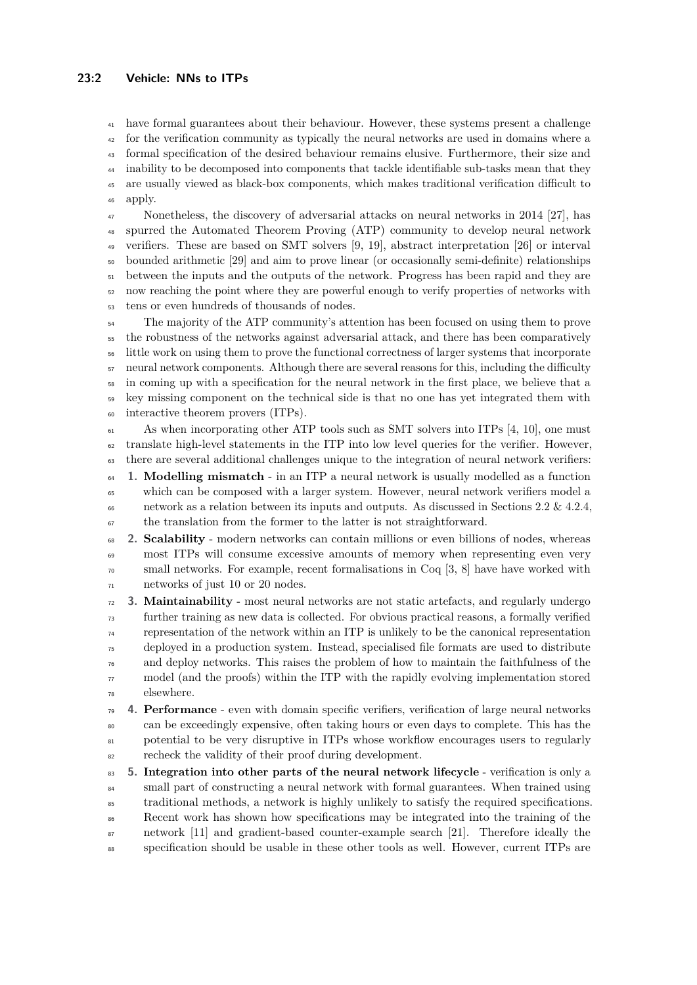# **23:2 Vehicle: NNs to ITPs**

 have formal guarantees about their behaviour. However, these systems present a challenge <sup>42</sup> for the verification community as typically the neural networks are used in domains where a formal specification of the desired behaviour remains elusive. Furthermore, their size and inability to be decomposed into components that tackle identifiable sub-tasks mean that they are usually viewed as black-box components, which makes traditional verification difficult to apply.

 Nonetheless, the discovery of adversarial attacks on neural networks in 2014 [\[27\]](#page-17-0), has spurred the Automated Theorem Proving (ATP) community to develop neural network verifiers. These are based on SMT solvers [\[9,](#page-16-0) [19\]](#page-16-1), abstract interpretation [\[26\]](#page-17-1) or interval bounded arithmetic [\[29\]](#page-17-2) and aim to prove linear (or occasionally semi-definite) relationships between the inputs and the outputs of the network. Progress has been rapid and they are now reaching the point where they are powerful enough to verify properties of networks with tens or even hundreds of thousands of nodes.

<sup>54</sup> The majority of the ATP community's attention has been focused on using them to prove the robustness of the networks against adversarial attack, and there has been comparatively little work on using them to prove the functional correctness of larger systems that incorporate neural network components. Although there are several reasons for this, including the difficulty in coming up with a specification for the neural network in the first place, we believe that a key missing component on the technical side is that no one has yet integrated them with interactive theorem provers (ITPs).

 $\epsilon_{61}$  As when incorporating other ATP tools such as SMT solvers into ITPs [\[4,](#page-15-0) [10\]](#page-16-2), one must translate high-level statements in the ITP into low level queries for the verifier. However, there are several additional challenges unique to the integration of neural network verifiers:

- **1. Modelling mismatch** in an ITP a neural network is usually modelled as a function which can be composed with a larger system. However, neural network verifiers model a 66 network as a relation between its inputs and outputs. As discussed in Sections [2.2](#page-6-0) & [4.2.4,](#page-11-0) the translation from the former to the latter is not straightforward.
- **2. Scalability** modern networks can contain millions or even billions of nodes, whereas most ITPs will consume excessive amounts of memory when representing even very small networks. For example, recent formalisations in Coq [\[3,](#page-15-1) [8\]](#page-16-3) have have worked with networks of just 10 or 20 nodes.
- **3. Maintainability** most neural networks are not static artefacts, and regularly undergo further training as new data is collected. For obvious practical reasons, a formally verified representation of the network within an ITP is unlikely to be the canonical representation deployed in a production system. Instead, specialised file formats are used to distribute and deploy networks. This raises the problem of how to maintain the faithfulness of the  $\pi$  model (and the proofs) within the ITP with the rapidly evolving implementation stored elsewhere.
- **4. Performance** even with domain specific verifiers, verification of large neural networks can be exceedingly expensive, often taking hours or even days to complete. This has the potential to be very disruptive in ITPs whose workflow encourages users to regularly recheck the validity of their proof during development.
- **5. Integration into other parts of the neural network lifecycle** verification is only a <sup>84</sup> small part of constructing a neural network with formal guarantees. When trained using traditional methods, a network is highly unlikely to satisfy the required specifications. Recent work has shown how specifications may be integrated into the training of the network [\[11\]](#page-16-4) and gradient-based counter-example search [\[21\]](#page-16-5). Therefore ideally the specification should be usable in these other tools as well. However, current ITPs are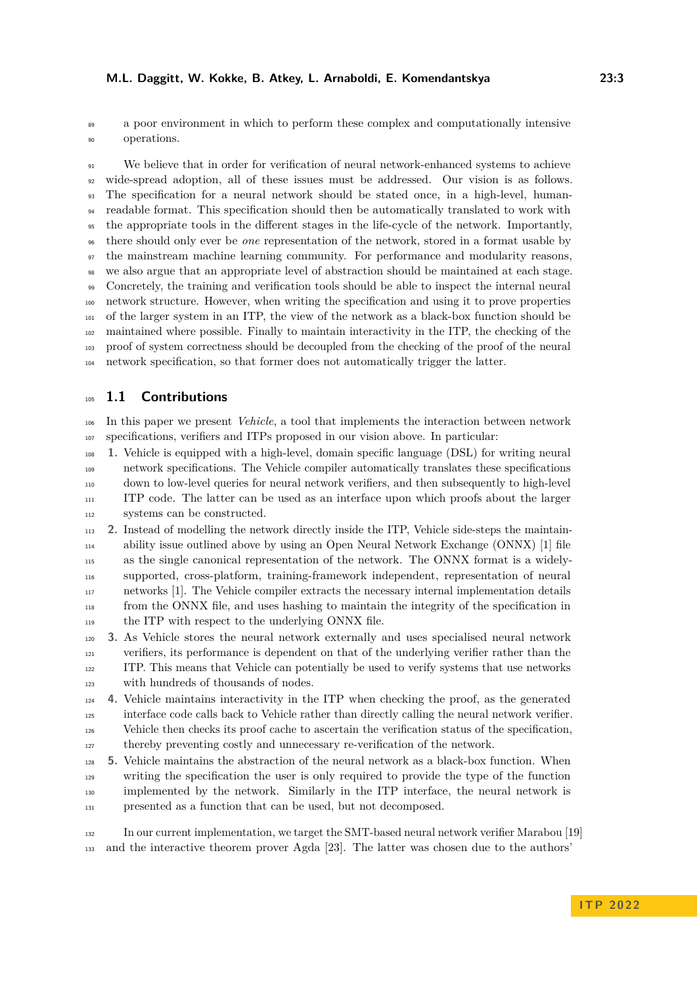#### **M.L. Daggitt, W. Kokke, B. Atkey, L. Arnaboldi, E. Komendantskya 23:3**

 a poor environment in which to perform these complex and computationally intensive operations.

 We believe that in order for verification of neural network-enhanced systems to achieve wide-spread adoption, all of these issues must be addressed. Our vision is as follows. The specification for a neural network should be stated once, in a high-level, human- readable format. This specification should then be automatically translated to work with the appropriate tools in the different stages in the life-cycle of the network. Importantly, there should only ever be *one* representation of the network, stored in a format usable by the mainstream machine learning community. For performance and modularity reasons, we also argue that an appropriate level of abstraction should be maintained at each stage. Concretely, the training and verification tools should be able to inspect the internal neural network structure. However, when writing the specification and using it to prove properties of the larger system in an ITP, the view of the network as a black-box function should be maintained where possible. Finally to maintain interactivity in the ITP, the checking of the proof of system correctness should be decoupled from the checking of the proof of the neural network specification, so that former does not automatically trigger the latter.

# **1.1 Contributions**

 In this paper we present *Vehicle*, a tool that implements the interaction between network specifications, verifiers and ITPs proposed in our vision above. In particular:

 **1.** Vehicle is equipped with a high-level, domain specific language (DSL) for writing neural network specifications. The Vehicle compiler automatically translates these specifications down to low-level queries for neural network verifiers, and then subsequently to high-level ITP code. The latter can be used as an interface upon which proofs about the larger systems can be constructed.

 **2.** Instead of modelling the network directly inside the ITP, Vehicle side-steps the maintain- ability issue outlined above by using an Open Neural Network Exchange (ONNX) [\[1\]](#page-15-2) file as the single canonical representation of the network. The ONNX format is a widely- supported, cross-platform, training-framework independent, representation of neural networks [\[1\]](#page-15-2). The Vehicle compiler extracts the necessary internal implementation details from the ONNX file, and uses hashing to maintain the integrity of the specification in <sup>119</sup> the ITP with respect to the underlying ONNX file.

 **3.** As Vehicle stores the neural network externally and uses specialised neural network verifiers, its performance is dependent on that of the underlying verifier rather than the ITP. This means that Vehicle can potentially be used to verify systems that use networks with hundreds of thousands of nodes.

 **4.** Vehicle maintains interactivity in the ITP when checking the proof, as the generated interface code calls back to Vehicle rather than directly calling the neural network verifier. Vehicle then checks its proof cache to ascertain the verification status of the specification,

thereby preventing costly and unnecessary re-verification of the network.

 **5.** Vehicle maintains the abstraction of the neural network as a black-box function. When writing the specification the user is only required to provide the type of the function implemented by the network. Similarly in the ITP interface, the neural network is presented as a function that can be used, but not decomposed.

 In our current implementation, we target the SMT-based neural network verifier Marabou [\[19\]](#page-16-1) and the interactive theorem prover Agda [\[23\]](#page-16-6). The latter was chosen due to the authors'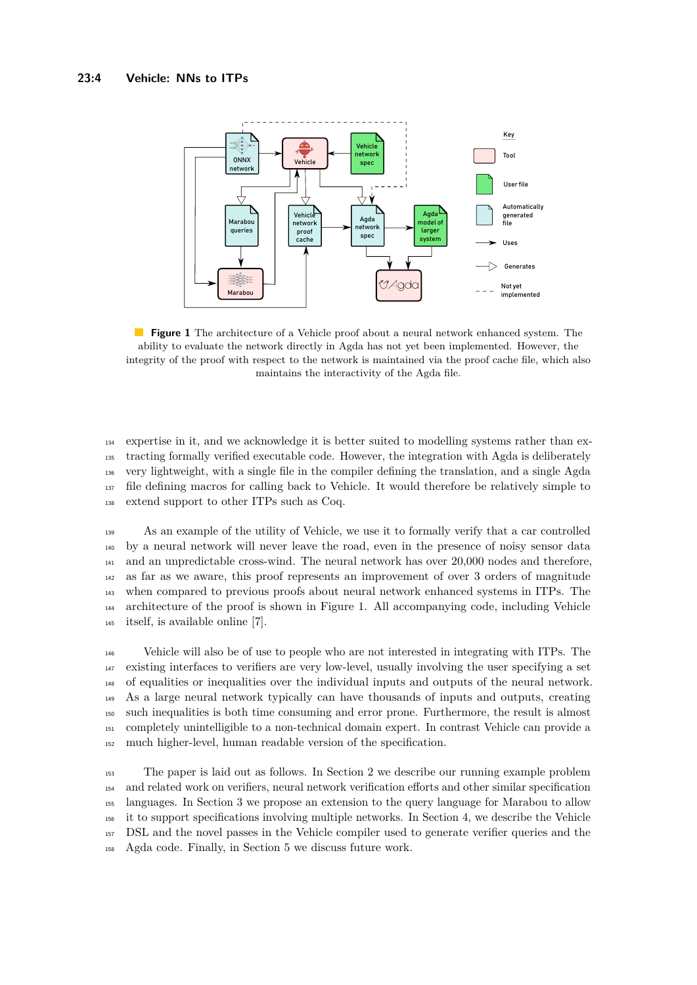<span id="page-3-0"></span>

**Figure 1** The architecture of a Vehicle proof about a neural network enhanced system. The ability to evaluate the network directly in Agda has not yet been implemented. However, the integrity of the proof with respect to the network is maintained via the proof cache file, which also maintains the interactivity of the Agda file.

 expertise in it, and we acknowledge it is better suited to modelling systems rather than ex- tracting formally verified executable code. However, the integration with Agda is deliberately very lightweight, with a single file in the compiler defining the translation, and a single Agda file defining macros for calling back to Vehicle. It would therefore be relatively simple to extend support to other ITPs such as Coq.

 As an example of the utility of Vehicle, we use it to formally verify that a car controlled by a neural network will never leave the road, even in the presence of noisy sensor data and an unpredictable cross-wind. The neural network has over 20,000 nodes and therefore, as far as we aware, this proof represents an improvement of over 3 orders of magnitude when compared to previous proofs about neural network enhanced systems in ITPs. The architecture of the proof is shown in Figure [1.](#page-3-0) All accompanying code, including Vehicle itself, is available online [\[7\]](#page-16-7).

 Vehicle will also be of use to people who are not interested in integrating with ITPs. The existing interfaces to verifiers are very low-level, usually involving the user specifying a set of equalities or inequalities over the individual inputs and outputs of the neural network. As a large neural network typically can have thousands of inputs and outputs, creating such inequalities is both time consuming and error prone. Furthermore, the result is almost completely unintelligible to a non-technical domain expert. In contrast Vehicle can provide a much higher-level, human readable version of the specification.

 The paper is laid out as follows. In Section [2](#page-4-0) we describe our running example problem and related work on verifiers, neural network verification efforts and other similar specification languages. In Section [3](#page-8-0) we propose an extension to the query language for Marabou to allow it to support specifications involving multiple networks. In Section [4,](#page-9-0) we describe the Vehicle DSL and the novel passes in the Vehicle compiler used to generate verifier queries and the Agda code. Finally, in Section [5](#page-14-0) we discuss future work.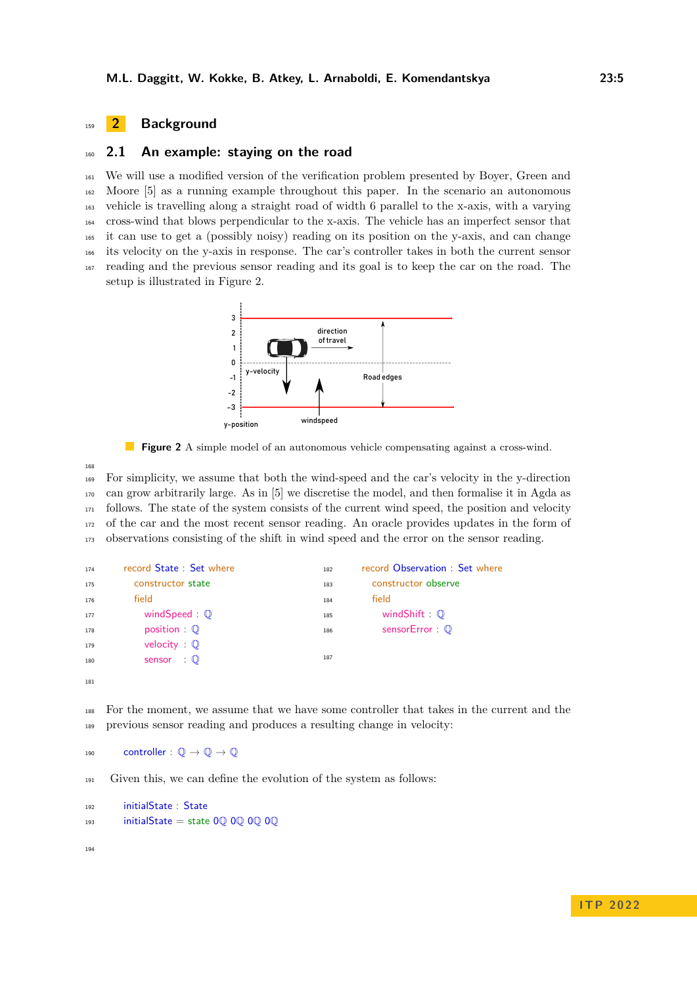# <span id="page-4-0"></span><sup>159</sup> **2 Background**

#### <span id="page-4-2"></span><sup>160</sup> **2.1 An example: staying on the road**

 We will use a modified version of the verification problem presented by Boyer, Green and Moore [\[5\]](#page-15-3) as a running example throughout this paper. In the scenario an autonomous vehicle is travelling along a straight road of width 6 parallel to the x-axis, with a varying cross-wind that blows perpendicular to the x-axis. The vehicle has an imperfect sensor that it can use to get a (possibly noisy) reading on its position on the y-axis, and can change its velocity on the y-axis in response. The car's controller takes in both the current sensor reading and the previous sensor reading and its goal is to keep the car on the road. The setup is illustrated in Figure [2.](#page-4-1)

<span id="page-4-1"></span>

**Figure 2** A simple model of an autonomous vehicle compensating against a cross-wind.

168

 For simplicity, we assume that both the wind-speed and the car's velocity in the y-direction can grow arbitrarily large. As in [\[5\]](#page-15-3) we discretise the model, and then formalise it in Agda as follows. The state of the system consists of the current wind speed, the position and velocity of the car and the most recent sensor reading. An oracle provides updates in the form of observations consisting of the shift in wind speed and the error on the sensor reading.

```
174 record State : Set where
175 constructor state
176 field
177 windSpeed : <sup>Q</sup>
178 position : Q
179 velocity : 1
180 Sensor : \mathbb{Q}181
                                           182 record Observation : Set where
                                           183 constructor observe
                                           184 field
                                           185 windShift : \mathbb{Q}186 sensorError : Q
                                           187
```
<sup>188</sup> For the moment, we assume that we have some controller that takes in the current and the <sup>189</sup> previous sensor reading and produces a resulting change in velocity:

190 controller :  $\mathbb{O} \to \mathbb{O} \to \mathbb{O}$ 

<sup>191</sup> Given this, we can define the evolution of the system as follows:

```
192 initialState : State
_{193} initialState = state 0Q 0Q 0Q 0Q
```
194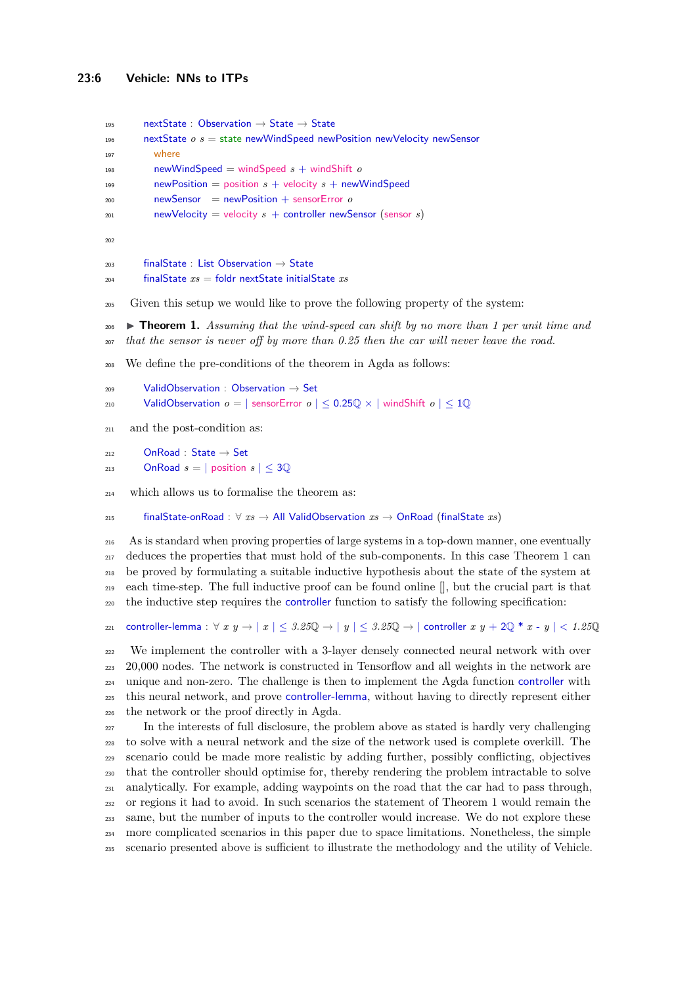```
195 nextState : Observation \rightarrow State \rightarrow State
196 nextState o s = state newWindSpeed newPosition newVelocity newSensor
197 where
198 newWindSpeed = windSpeed s + windShift o
199 newPosition = position s + velocity s + newWindSpeed
200 newSensor = newPosition + sensorError o
201 newVelocity = velocity s + controller newSensor (sensor s)
202
203 finalState : List Observation \rightarrow State
204 finalState xs = foldr nextState initialState xs
```
<span id="page-5-0"></span>Given this setup we would like to prove the following property of the system:

 I **Theorem 1.** *Assuming that the wind-speed can shift by no more than 1 per unit time and that the sensor is never off by more than 0.25 then the car will never leave the road.*

We define the pre-conditions of the theorem in Agda as follows:

```
209 ValidObservation : Observation \rightarrow Set
210 ValidObservation o = |\text{ sensorError } o| \leq 0.25\mathbb{Q} \times |\text{windShift } o| \leq 1\mathbb{Q}
```
and the post-condition as:

```
212 OnRoad : State \rightarrow Set
```
213 **OnRoad**  $s = |$  position  $s | \leq 30$ 

which allows us to formalise the theorem as:

finalState-onRoad : ∀ *xs* → All ValidObservation *xs* → OnRoad (finalState *xs*)

 As is standard when proving properties of large systems in a top-down manner, one eventually deduces the properties that must hold of the sub-components. In this case Theorem [1](#page-5-0) can be proved by formulating a suitable inductive hypothesis about the state of the system at each time-step. The full inductive proof can be found online [], but the crucial part is that the inductive step requires the controller function to satisfy the following specification:

```
221 controller-lemma : ∀ x y → | x | ≤ 3.25Q → | y | ≤ 3.25Q → | controller x y + 2Q * x - y | < 1.25Q
```
 We implement the controller with a 3-layer densely connected neural network with over 20,000 nodes. The network is constructed in Tensorflow and all weights in the network are unique and non-zero. The challenge is then to implement the Agda function controller with this neural network, and prove controller-lemma, without having to directly represent either the network or the proof directly in Agda.

 In the interests of full disclosure, the problem above as stated is hardly very challenging to solve with a neural network and the size of the network used is complete overkill. The scenario could be made more realistic by adding further, possibly conflicting, objectives that the controller should optimise for, thereby rendering the problem intractable to solve analytically. For example, adding waypoints on the road that the car had to pass through, or regions it had to avoid. In such scenarios the statement of Theorem [1](#page-5-0) would remain the same, but the number of inputs to the controller would increase. We do not explore these more complicated scenarios in this paper due to space limitations. Nonetheless, the simple scenario presented above is sufficient to illustrate the methodology and the utility of Vehicle.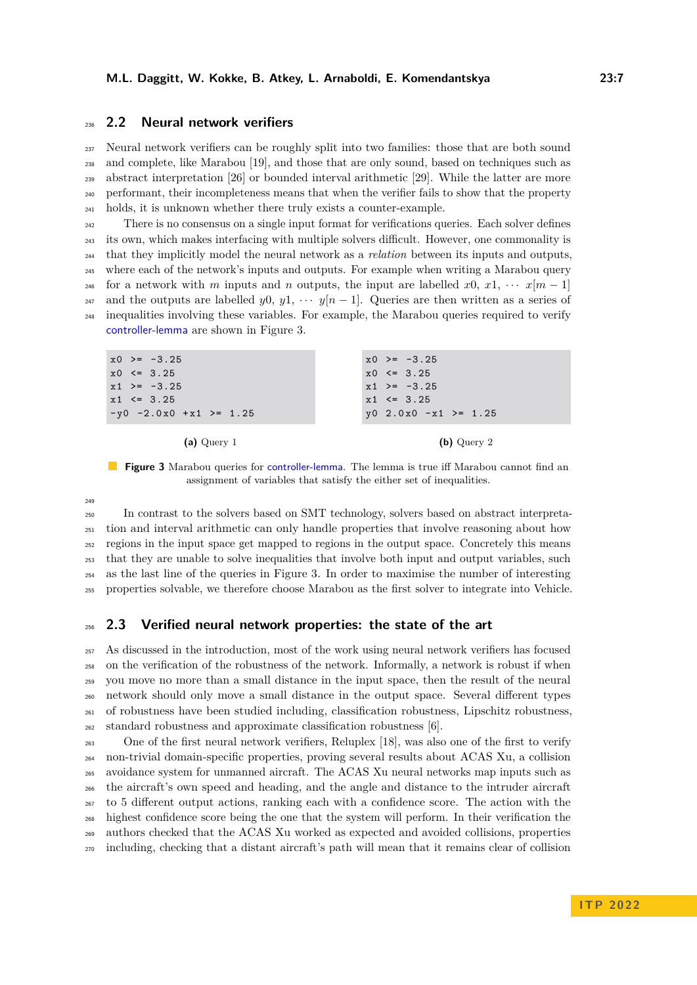# <span id="page-6-0"></span>**2.2 Neural network verifiers**

 Neural network verifiers can be roughly split into two families: those that are both sound and complete, like Marabou [\[19\]](#page-16-1), and those that are only sound, based on techniques such as abstract interpretation [\[26\]](#page-17-1) or bounded interval arithmetic [\[29\]](#page-17-2). While the latter are more performant, their incompleteness means that when the verifier fails to show that the property holds, it is unknown whether there truly exists a counter-example.

<sup>242</sup> There is no consensus on a single input format for verifications queries. Each solver defines its own, which makes interfacing with multiple solvers difficult. However, one commonality is that they implicitly model the neural network as a *relation* between its inputs and outputs, where each of the network's inputs and outputs. For example when writing a Marabou query <sup>246</sup> for a network with *m* inputs and *n* outputs, the input are labelled  $x_0, x_1, \cdots, x_m-1$ 247 and the outputs are labelled *y*0, *y*1,  $\cdots$  *y*[*n* − 1]. Queries are then written as a series of inequalities involving these variables. For example, the Marabou queries required to verify controller-lemma are shown in Figure [3.](#page-6-1)

<span id="page-6-1"></span>

| $x0 \ge -3.25$            | $x0 \ge -3.25$          |
|---------------------------|-------------------------|
| $x0 \leq 3.25$            | $x0 \leq 3.25$          |
| $x1 \geq -3.25$           | $x1 \geq -3.25$         |
| $x1 \leq 3.25$            | $x1 \leq 3.25$          |
| $-y0 -2.0x0 +x1 \ge 1.25$ | $y0 2.0x0 -x1 \ge 1.25$ |
|                           |                         |

**(a)** Query 1

**(b)** Query 2

**Figure 3** Marabou queries for controller-lemma. The lemma is true iff Marabou cannot find an assignment of variables that satisfy the either set of inequalities.

 In contrast to the solvers based on SMT technology, solvers based on abstract interpreta- tion and interval arithmetic can only handle properties that involve reasoning about how regions in the input space get mapped to regions in the output space. Concretely this means that they are unable to solve inequalities that involve both input and output variables, such as the last line of the queries in Figure [3.](#page-6-1) In order to maximise the number of interesting properties solvable, we therefore choose Marabou as the first solver to integrate into Vehicle.

#### **2.3 Verified neural network properties: the state of the art**

 As discussed in the introduction, most of the work using neural network verifiers has focused on the verification of the robustness of the network. Informally, a network is robust if when you move no more than a small distance in the input space, then the result of the neural network should only move a small distance in the output space. Several different types of robustness have been studied including, classification robustness, Lipschitz robustness, standard robustness and approximate classification robustness [\[6\]](#page-16-8).

 One of the first neural network verifiers, Reluplex [\[18\]](#page-16-9), was also one of the first to verify non-trivial domain-specific properties, proving several results about ACAS Xu, a collision avoidance system for unmanned aircraft. The ACAS Xu neural networks map inputs such as the aircraft's own speed and heading, and the angle and distance to the intruder aircraft to 5 different output actions, ranking each with a confidence score. The action with the highest confidence score being the one that the system will perform. In their verification the authors checked that the ACAS Xu worked as expected and avoided collisions, properties including, checking that a distant aircraft's path will mean that it remains clear of collision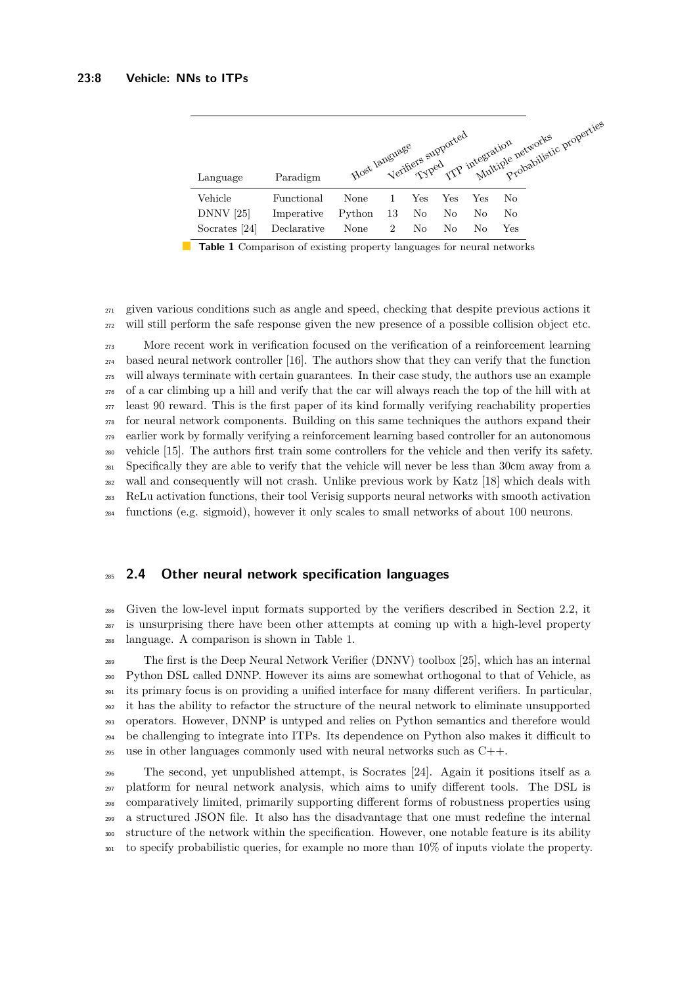<span id="page-7-0"></span>

| Language      | Paradigm    |        |                |     |     |     |              | Host language supported integration retworks properties |
|---------------|-------------|--------|----------------|-----|-----|-----|--------------|---------------------------------------------------------|
| Vehicle       | Functional  | None   |                | Yes | Yes | Yes | No           |                                                         |
| $DNNV$ [25]   | Imperative  | Python | -13            | No. | No  | No  | No           |                                                         |
| Socrates [24] | Declarative | None   | $\overline{2}$ | No  | No  | No  | $_{\rm Yes}$ |                                                         |

**Table 1** Comparison of existing property languages for neural networks

 given various conditions such as angle and speed, checking that despite previous actions it will still perform the safe response given the new presence of a possible collision object etc.

 More recent work in verification focused on the verification of a reinforcement learning based neural network controller [\[16\]](#page-16-10). The authors show that they can verify that the function will always terminate with certain guarantees. In their case study, the authors use an example of a car climbing up a hill and verify that the car will always reach the top of the hill with at <sub>277</sub> least 90 reward. This is the first paper of its kind formally verifying reachability properties for neural network components. Building on this same techniques the authors expand their earlier work by formally verifying a reinforcement learning based controller for an autonomous vehicle [\[15\]](#page-16-11). The authors first train some controllers for the vehicle and then verify its safety. Specifically they are able to verify that the vehicle will never be less than 30cm away from a wall and consequently will not crash. Unlike previous work by Katz [\[18\]](#page-16-9) which deals with ReLu activation functions, their tool Verisig supports neural networks with smooth activation functions (e.g. sigmoid), however it only scales to small networks of about 100 neurons.

#### **2.4 Other neural network specification languages**

 Given the low-level input formats supported by the verifiers described in Section [2.2,](#page-6-0) it is unsurprising there have been other attempts at coming up with a high-level property language. A comparison is shown in Table [1.](#page-7-0)

 The first is the Deep Neural Network Verifier (DNNV) toolbox [\[25\]](#page-17-3), which has an internal Python DSL called DNNP. However its aims are somewhat orthogonal to that of Vehicle, as its primary focus is on providing a unified interface for many different verifiers. In particular, it has the ability to refactor the structure of the neural network to eliminate unsupported operators. However, DNNP is untyped and relies on Python semantics and therefore would be challenging to integrate into ITPs. Its dependence on Python also makes it difficult to use in other languages commonly used with neural networks such as C++.

 The second, yet unpublished attempt, is Socrates [\[24\]](#page-17-4). Again it positions itself as a platform for neural network analysis, which aims to unify different tools. The DSL is comparatively limited, primarily supporting different forms of robustness properties using a structured JSON file. It also has the disadvantage that one must redefine the internal structure of the network within the specification. However, one notable feature is its ability to specify probabilistic queries, for example no more than 10% of inputs violate the property.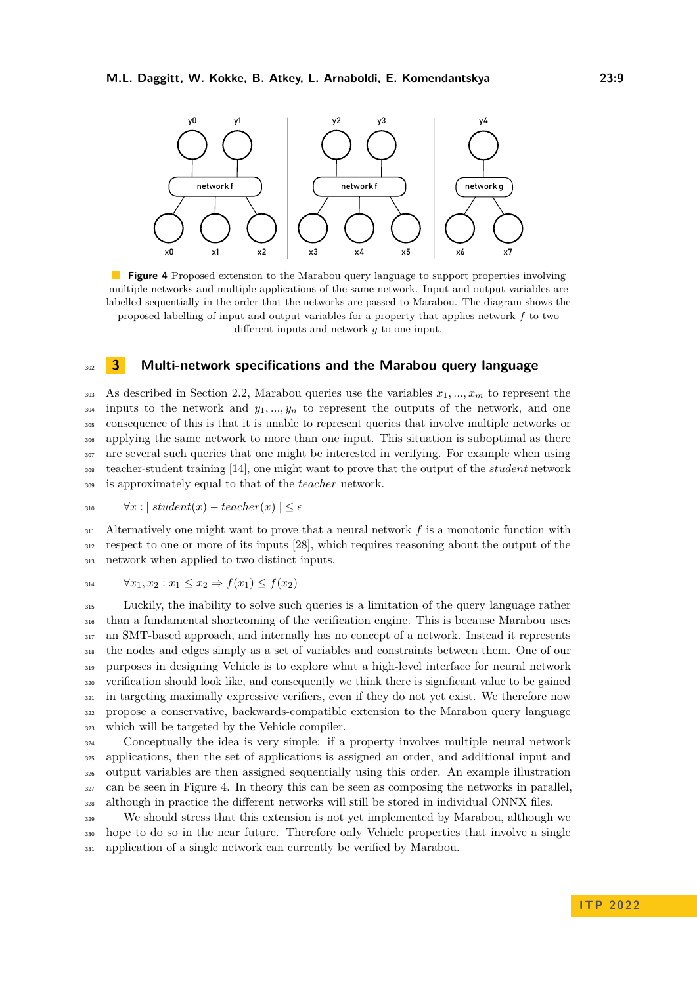<span id="page-8-1"></span>

**Figure 4** Proposed extension to the Marabou query language to support properties involving multiple networks and multiple applications of the same network. Input and output variables are labelled sequentially in the order that the networks are passed to Marabou. The diagram shows the proposed labelling of input and output variables for a property that applies network *f* to two different inputs and network *g* to one input.

# <span id="page-8-0"></span><sup>302</sup> **3 Multi-network specifications and the Marabou query language**

303 As described in Section [2.2,](#page-6-0) Marabou queries use the variables  $x_1, ..., x_m$  to represent the <sup>304</sup> inputs to the network and  $y_1, ..., y_n$  to represent the outputs of the network, and one consequence of this is that it is unable to represent queries that involve multiple networks or applying the same network to more than one input. This situation is suboptimal as there are several such queries that one might be interested in verifying. For example when using teacher-student training [\[14\]](#page-16-12), one might want to prove that the output of the *student* network is approximately equal to that of the *teacher* network.

$$
310 \quad \forall x : | \; student(x) - teacher(x) \; | \leq \epsilon
$$

 $_{311}$  Alternatively one might want to prove that a neural network  $f$  is a monotonic function with <sup>312</sup> respect to one or more of its inputs [\[28\]](#page-17-5), which requires reasoning about the output of the <sup>313</sup> network when applied to two distinct inputs.

$$
314 \qquad \forall x_1, x_2 : x_1 \le x_2 \Rightarrow f(x_1) \le f(x_2)
$$

 Luckily, the inability to solve such queries is a limitation of the query language rather than a fundamental shortcoming of the verification engine. This is because Marabou uses an SMT-based approach, and internally has no concept of a network. Instead it represents the nodes and edges simply as a set of variables and constraints between them. One of our purposes in designing Vehicle is to explore what a high-level interface for neural network verification should look like, and consequently we think there is significant value to be gained in targeting maximally expressive verifiers, even if they do not yet exist. We therefore now propose a conservative, backwards-compatible extension to the Marabou query language which will be targeted by the Vehicle compiler.

<sup>324</sup> Conceptually the idea is very simple: if a property involves multiple neural network applications, then the set of applications is assigned an order, and additional input and output variables are then assigned sequentially using this order. An example illustration can be seen in Figure [4.](#page-8-1) In theory this can be seen as composing the networks in parallel, although in practice the different networks will still be stored in individual ONNX files.

<sup>329</sup> We should stress that this extension is not yet implemented by Marabou, although we <sup>330</sup> hope to do so in the near future. Therefore only Vehicle properties that involve a single <sup>331</sup> application of a single network can currently be verified by Marabou.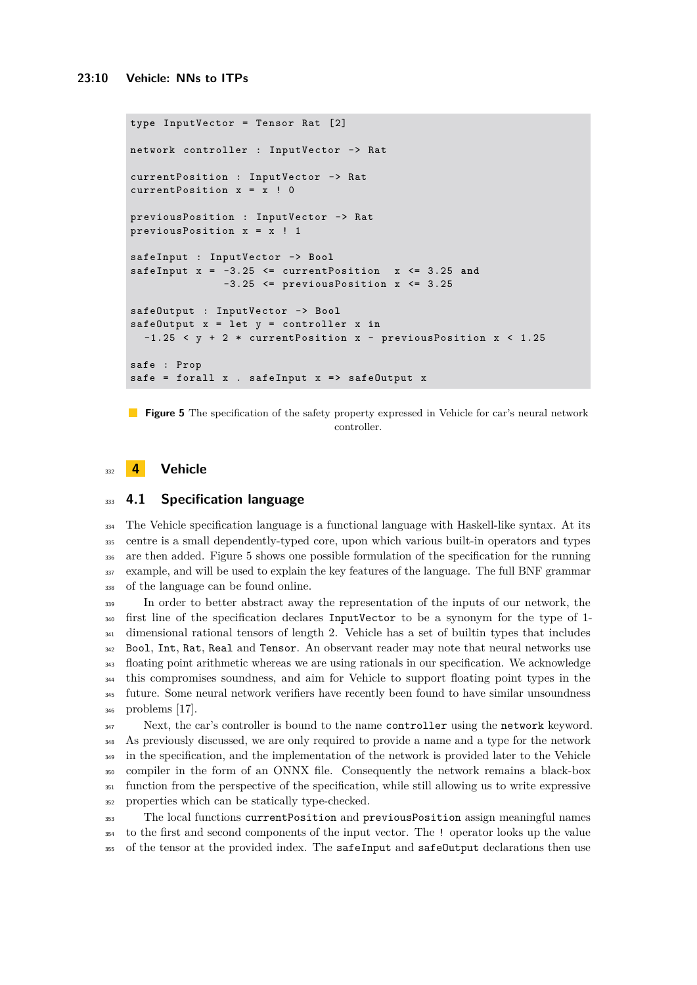```
type InputVector = Tensor Rat [2]
network controller : InputVector -> Rat
currentPosition : InputVector -> Rat
currentPosition x = x ! 0
previousPosition : InputVector -> Rat
previousPosition x = x ! 1
safeInput : InputVector -> Bool
safeInput x = -3.25 <= currentPosition x <= 3.25 and
              -3.25 <= previousPosition x <= 3.25
safeOutput : InputVector -> Bool
safeOutput x = let y = controller x in
  -1.25 < y + 2 * currentPosition x - previousPosition x < 1.25
safe : Prop
safe = forall x . safeInput x => safeOutput x
```
**Figure 5** The specification of the safety property expressed in Vehicle for car's neural network controller.

# <span id="page-9-0"></span><sup>332</sup> **4 Vehicle**

#### <sup>333</sup> **4.1 Specification language**

 The Vehicle specification language is a functional language with Haskell-like syntax. At its centre is a small dependently-typed core, upon which various built-in operators and types are then added. Figure [5](#page-9-1) shows one possible formulation of the specification for the running example, and will be used to explain the key features of the language. The full BNF grammar of the language can be found online.

 In order to better abstract away the representation of the inputs of our network, the first line of the specification declares InputVector to be a synonym for the type of 1- <sup>341</sup> dimensional rational tensors of length 2. Vehicle has a set of builtin types that includes Bool, Int, Rat, Real and Tensor. An observant reader may note that neural networks use floating point arithmetic whereas we are using rationals in our specification. We acknowledge this compromises soundness, and aim for Vehicle to support floating point types in the future. Some neural network verifiers have recently been found to have similar unsoundness problems [\[17\]](#page-16-13).

<sup>347</sup> Next, the car's controller is bound to the name controller using the network keyword. As previously discussed, we are only required to provide a name and a type for the network in the specification, and the implementation of the network is provided later to the Vehicle compiler in the form of an ONNX file. Consequently the network remains a black-box function from the perspective of the specification, while still allowing us to write expressive properties which can be statically type-checked.

<sup>353</sup> The local functions currentPosition and previousPosition assign meaningful names <sup>354</sup> to the first and second components of the input vector. The ! operator looks up the value <sup>355</sup> of the tensor at the provided index. The safeInput and safeOutput declarations then use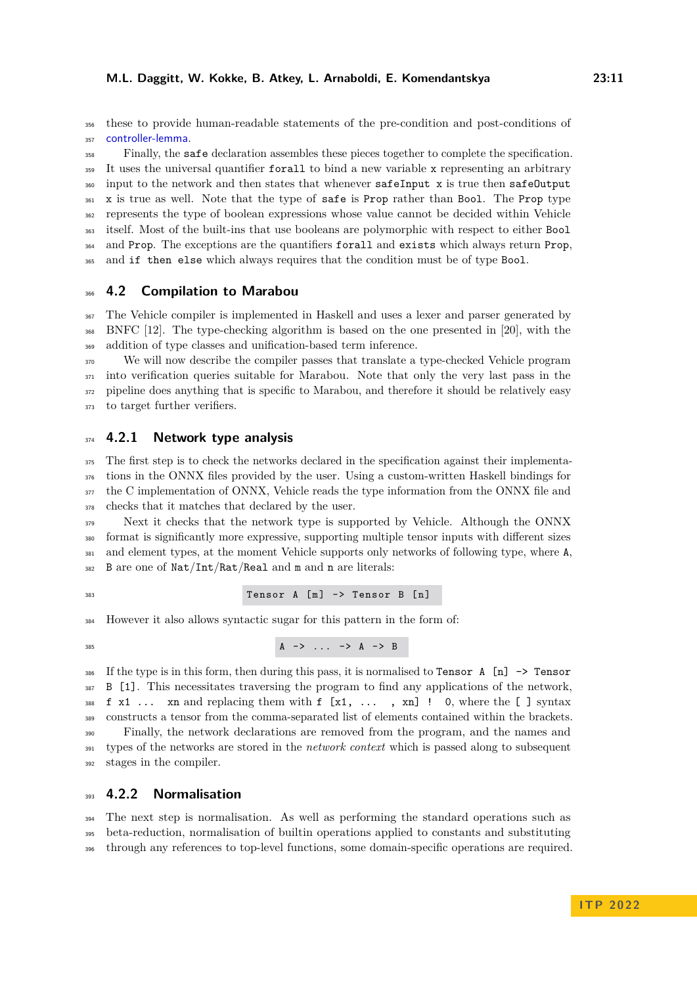these to provide human-readable statements of the pre-condition and post-conditions of 357 controller-lemma.

 Finally, the safe declaration assembles these pieces together to complete the specification. <sup>359</sup> It uses the universal quantifier forall to bind a new variable x representing an arbitrary input to the network and then states that whenever safeInput x is true then safeOutput <sup>361</sup> x is true as well. Note that the type of safe is Prop rather than Bool. The Prop type represents the type of boolean expressions whose value cannot be decided within Vehicle itself. Most of the built-ins that use booleans are polymorphic with respect to either Bool and Prop. The exceptions are the quantifiers forall and exists which always return Prop, and if then else which always requires that the condition must be of type Bool.

#### **4.2 Compilation to Marabou**

 The Vehicle compiler is implemented in Haskell and uses a lexer and parser generated by BNFC [\[12\]](#page-16-14). The type-checking algorithm is based on the one presented in [\[20\]](#page-16-15), with the addition of type classes and unification-based term inference.

 We will now describe the compiler passes that translate a type-checked Vehicle program into verification queries suitable for Marabou. Note that only the very last pass in the pipeline does anything that is specific to Marabou, and therefore it should be relatively easy to target further verifiers.

# **4.2.1 Network type analysis**

 The first step is to check the networks declared in the specification against their implementa- tions in the ONNX files provided by the user. Using a custom-written Haskell bindings for <sup>377</sup> the C implementation of ONNX, Vehicle reads the type information from the ONNX file and checks that it matches that declared by the user.

 Next it checks that the network type is supported by Vehicle. Although the ONNX format is significantly more expressive, supporting multiple tensor inputs with different sizes and element types, at the moment Vehicle supports only networks of following type, where A, B are one of Nat/Int/Rat/Real and m and n are literals:

Tensor A [ m ] -> Tensor B [ n ]

However it also allows syntactic sugar for this pattern in the form of:

 $A \rightarrow \dots \rightarrow A \rightarrow B$ 

386 If the type is in this form, then during this pass, it is normalised to Tensor A  $[n] \rightarrow$  Tensor 387 B [1]. This necessitates traversing the program to find any applications of the network, 388 f  $x1$  ... xn and replacing them with  $f$  [ $x1$ , ..., xn] ! 0, where the [] syntax constructs a tensor from the comma-separated list of elements contained within the brackets. Finally, the network declarations are removed from the program, and the names and types of the networks are stored in the *network context* which is passed along to subsequent stages in the compiler.

#### **4.2.2 Normalisation**

 The next step is normalisation. As well as performing the standard operations such as beta-reduction, normalisation of builtin operations applied to constants and substituting through any references to top-level functions, some domain-specific operations are required.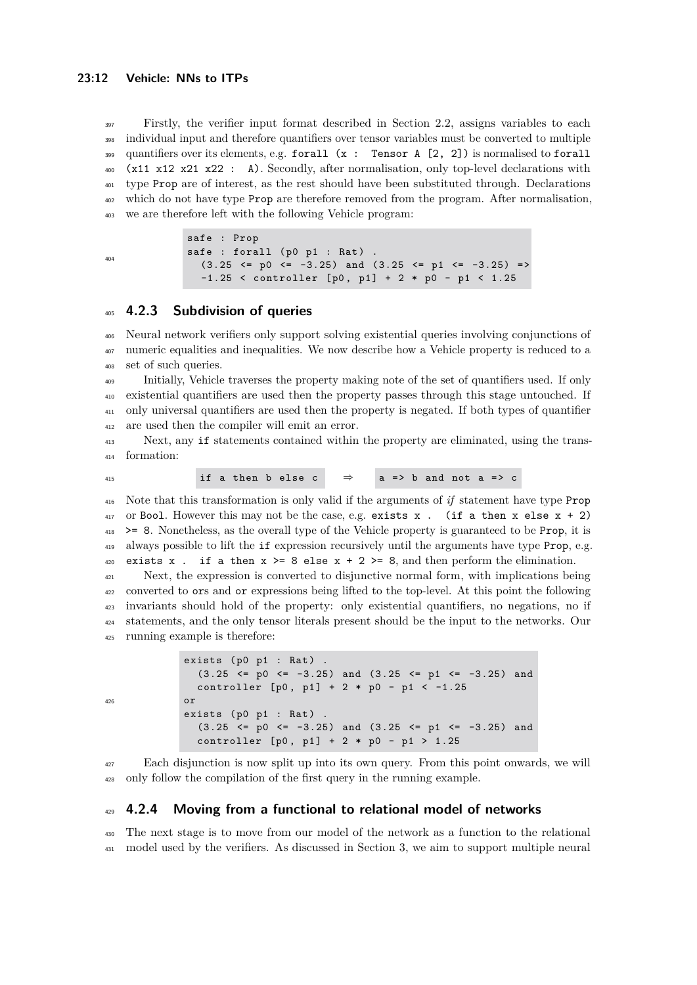Firstly, the verifier input format described in Section [2.2,](#page-6-0) assigns variables to each individual input and therefore quantifiers over tensor variables must be converted to multiple 399 quantifiers over its elements, e.g. forall  $(x :$  Tensor A  $[2, 2]$  is normalised to forall (x11 x12 x21 x22 : A). Secondly, after normalisation, only top-level declarations with type Prop are of interest, as the rest should have been substituted through. Declarations which do not have type Prop are therefore removed from the program. After normalisation, we are therefore left with the following Vehicle program:

```
404
```
safe : Prop safe : forall  $(p0 p1 : Rat)$  $(3.25 \le p0 \le -3.25)$  and  $(3.25 \le p1 \le -3.25) =$  $-1.25$  < controller [p0, p1] + 2 \* p0 - p1 < 1.25

#### <span id="page-11-1"></span>**4.2.3 Subdivision of queries**

 Neural network verifiers only support solving existential queries involving conjunctions of numeric equalities and inequalities. We now describe how a Vehicle property is reduced to a set of such queries.

 Initially, Vehicle traverses the property making note of the set of quantifiers used. If only existential quantifiers are used then the property passes through this stage untouched. If only universal quantifiers are used then the property is negated. If both types of quantifier are used then the compiler will emit an error.

 Next, any if statements contained within the property are eliminated, using the trans-formation:

415 if a then b else c  $\Rightarrow$  a => b and not a => c

 Note that this transformation is only valid if the arguments of *if* statement have type Prop or Bool. However this may not be the case, e.g. exists x. (if a then x else  $x + 2$ ) >= 8. Nonetheless, as the overall type of the Vehicle property is guaranteed to be Prop, it is always possible to lift the if expression recursively until the arguments have type Prop, e.g. 420 exists x. if a then  $x \ge 8$  else  $x + 2 \ge 8$ , and then perform the elimination.

 Next, the expression is converted to disjunctive normal form, with implications being converted to ors and or expressions being lifted to the top-level. At this point the following invariants should hold of the property: only existential quantifiers, no negations, no if statements, and the only tensor literals present should be the input to the networks. Our running example is therefore:

```
exists (p0 p1 : Rat)(3.25 \le p0 \le -3.25) and (3.25 \le p1 \le -3.25) and
  controller [p0, p1] + 2 * p0 - p1 < -1.25or
exists (p0 p1 : Rat).
  (3.25 \le p0 \le -3.25) and (3.25 \le p1 \le -3.25) and
  controller [p0, p1] + 2 * p0 - p1 > 1.25
```
 Each disjunction is now split up into its own query. From this point onwards, we will only follow the compilation of the first query in the running example.

## <span id="page-11-0"></span>**4.2.4 Moving from a functional to relational model of networks**

 The next stage is to move from our model of the network as a function to the relational model used by the verifiers. As discussed in Section [3,](#page-8-0) we aim to support multiple neural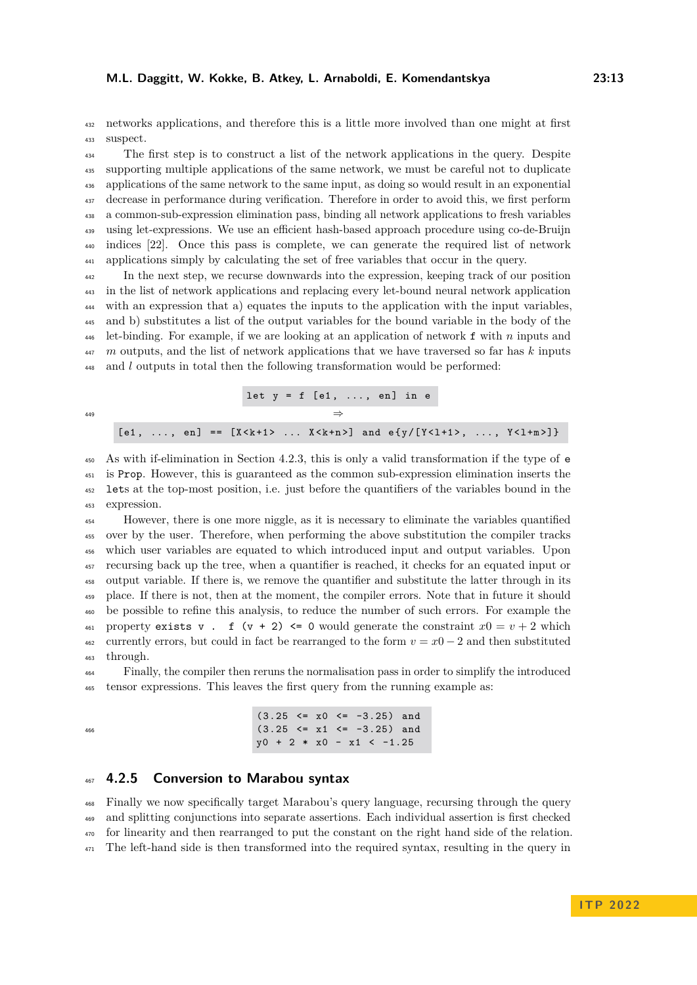networks applications, and therefore this is a little more involved than one might at first suspect.

 The first step is to construct a list of the network applications in the query. Despite supporting multiple applications of the same network, we must be careful not to duplicate applications of the same network to the same input, as doing so would result in an exponential decrease in performance during verification. Therefore in order to avoid this, we first perform a common-sub-expression elimination pass, binding all network applications to fresh variables using let-expressions. We use an efficient hash-based approach procedure using co-de-Bruijn indices [\[22\]](#page-16-16). Once this pass is complete, we can generate the required list of network applications simply by calculating the set of free variables that occur in the query.

 In the next step, we recurse downwards into the expression, keeping track of our position in the list of network applications and replacing every let-bound neural network application with an expression that a) equates the inputs to the application with the input variables, and b) substitutes a list of the output variables for the bound variable in the body of the let-binding. For example, if we are looking at an application of network f with *n* inputs and *m* outputs, and the list of network applications that we have traversed so far has *k* inputs and *l* outputs in total then the following transformation would be performed:

|     |  |  |  | let $y = f$ [e1, , en] in e |  |  |                                                                                     |
|-----|--|--|--|-----------------------------|--|--|-------------------------------------------------------------------------------------|
| 449 |  |  |  |                             |  |  |                                                                                     |
|     |  |  |  |                             |  |  | [e1, , en] == [X <k+1>  X<k+n>] and e{y/[Y&lt;1+1&gt;, , Y&lt;1+m&gt;]}</k+n></k+1> |

 As with if-elimination in Section [4.2.3,](#page-11-1) this is only a valid transformation if the type of e is Prop. However, this is guaranteed as the common sub-expression elimination inserts the lets at the top-most position, i.e. just before the quantifiers of the variables bound in the expression.

 However, there is one more niggle, as it is necessary to eliminate the variables quantified over by the user. Therefore, when performing the above substitution the compiler tracks which user variables are equated to which introduced input and output variables. Upon recursing back up the tree, when a quantifier is reached, it checks for an equated input or output variable. If there is, we remove the quantifier and substitute the latter through in its place. If there is not, then at the moment, the compiler errors. Note that in future it should be possible to refine this analysis, to reduce the number of such errors. For example the 461 property exists v. f  $(v + 2) \le 0$  would generate the constraint  $x0 = v + 2$  which 462 currently errors, but could in fact be rearranged to the form  $v = x0 - 2$  and then substituted through.

 Finally, the compiler then reruns the normalisation pass in order to simplify the introduced tensor expressions. This leaves the first query from the running example as:

|  |  |                            |  | $(3.25 \le x0 \le -3.25)$ and |
|--|--|----------------------------|--|-------------------------------|
|  |  |                            |  | $(3.25 \le x1 \le -3.25)$ and |
|  |  | $y0 + 2 * x0 - x1 < -1.25$ |  |                               |

#### **4.2.5 Conversion to Marabou syntax**

 Finally we now specifically target Marabou's query language, recursing through the query and splitting conjunctions into separate assertions. Each individual assertion is first checked for linearity and then rearranged to put the constant on the right hand side of the relation. The left-hand side is then transformed into the required syntax, resulting in the query in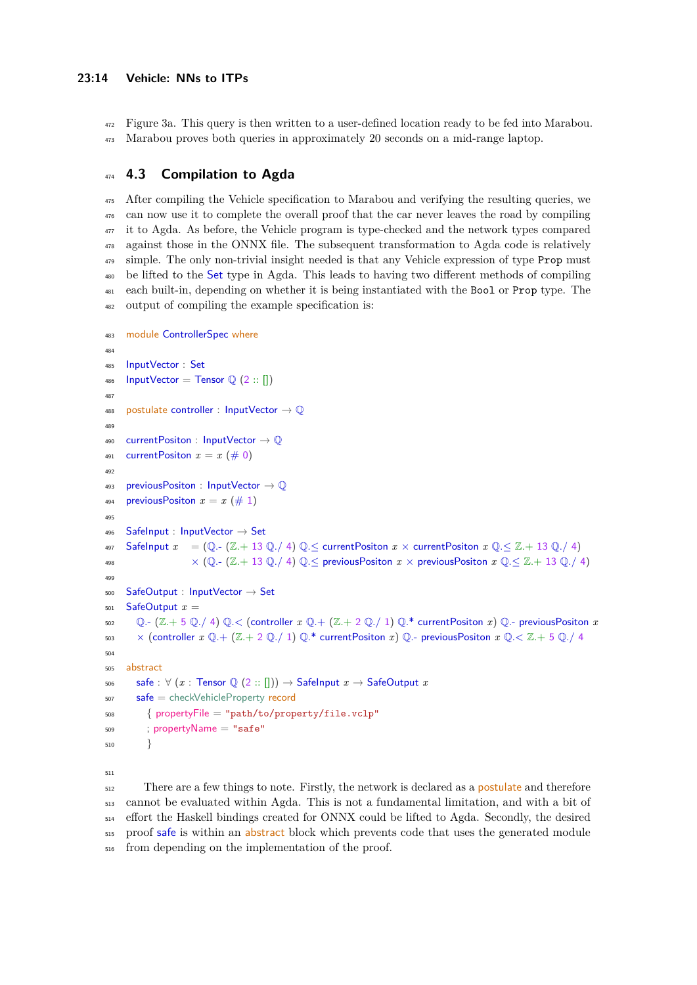Figure [3a](#page-6-1). This query is then written to a user-defined location ready to be fed into Marabou.

Marabou proves both queries in approximately 20 seconds on a mid-range laptop.

# **4.3 Compilation to Agda**

 After compiling the Vehicle specification to Marabou and verifying the resulting queries, we can now use it to complete the overall proof that the car never leaves the road by compiling <sup>477</sup> it to Agda. As before, the Vehicle program is type-checked and the network types compared against those in the ONNX file. The subsequent transformation to Agda code is relatively <sup>479</sup> simple. The only non-trivial insight needed is that any Vehicle expression of type Prop must be lifted to the Set type in Agda. This leads to having two different methods of compiling each built-in, depending on whether it is being instantiated with the Bool or Prop type. The output of compiling the example specification is:

```
483 module ControllerSpec where
484
485 InputVector : Set
486 InputVector = Tensor \mathbb{Q} (2 :: [])
487
488 postulate controller : InputVector \rightarrow \mathbb{Q}489
490 currentPositon : InputVector → Q
491 currentPositon x = x \ (\# 0)402
493 previousPositon : InputVector \rightarrow Q
494 previousPositon x = x \ (\# 1)495
496 SafeInput : InputVector \rightarrow Set
497 SafeInput x = (\mathbb{Q} - (\mathbb{Z} + 13 \mathbb{Q})/4) \mathbb{Q} \le currentPositon x \times currentPositon x \mathbb{Q} \leq \mathbb{Z} + 13 \mathbb{Q}/4498 \times (Q.- (Z.+ 13 Q./ 4) Q. \leq previous Positon x \times previous Positon x \in \mathbb{Z} + 13 Q./ 4)
<u>496</u>
500 SafeOutput : InputVector → Set
501 SafeOutput x =
502 \mathbb{Q}. (Z + 5\mathbb{Q})/4 \mathbb{Q}. \lt (controller x \mathbb{Q}. + (Z + 2\mathbb{Q})/1) \mathbb{Q}.* currentPositon x) \mathbb{Q}. previousPositon x503 \times (controller x \mathbb{Q} + (\mathbb{Z} + 2 \mathbb{Q}/1) \mathbb{Q}.* currentPositon x \mathbb{Q}.- previousPositon x \mathbb{Q} \lt \mathbb{Z} + 5 \mathbb{Q}/4504
505 abstract
506 safe : \forall (x : Tensor \mathbb{Q} (2 :: [])) \rightarrow SafeInput x \rightarrow SafeOutput x
507 safe = checkVehicleProperty record
508 { propertyFile = "path/to/property/file.vclp"
509 ; propertyName = "safe"
510 }
511
```
<sup>512</sup> There are a few things to note. Firstly, the network is declared as a **postulate** and therefore cannot be evaluated within Agda. This is not a fundamental limitation, and with a bit of effort the Haskell bindings created for ONNX could be lifted to Agda. Secondly, the desired 515 proof safe is within an abstract block which prevents code that uses the generated module from depending on the implementation of the proof.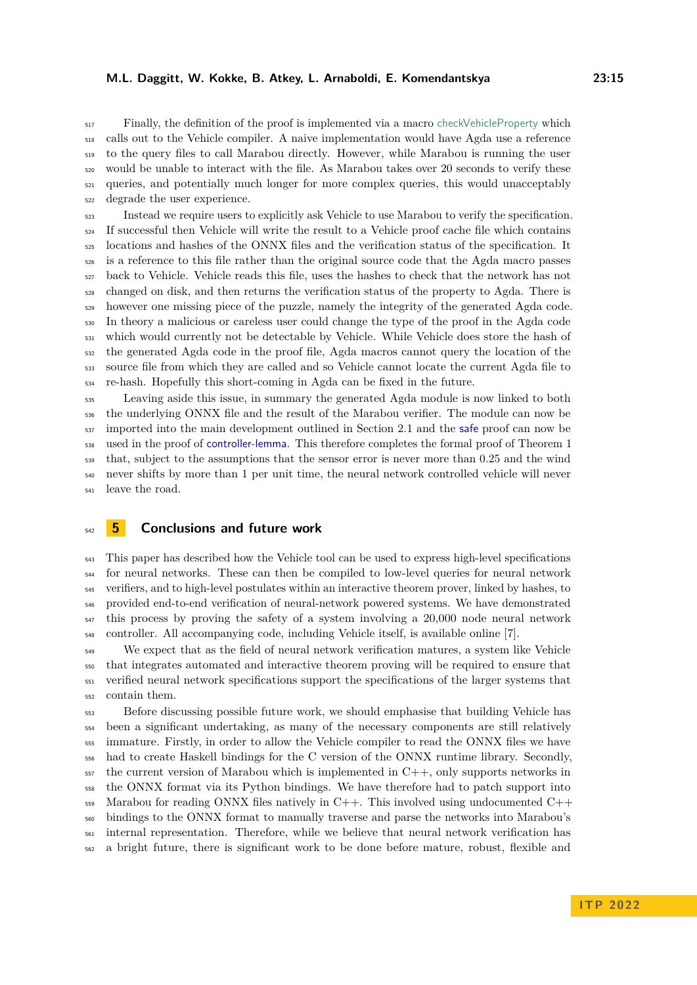#### **M.L. Daggitt, W. Kokke, B. Atkey, L. Arnaboldi, E. Komendantskya 23:15**

 Finally, the definition of the proof is implemented via a macro checkVehicleProperty which calls out to the Vehicle compiler. A naive implementation would have Agda use a reference to the query files to call Marabou directly. However, while Marabou is running the user would be unable to interact with the file. As Marabou takes over 20 seconds to verify these queries, and potentially much longer for more complex queries, this would unacceptably degrade the user experience.

 Instead we require users to explicitly ask Vehicle to use Marabou to verify the specification. If successful then Vehicle will write the result to a Vehicle proof cache file which contains locations and hashes of the ONNX files and the verification status of the specification. It is a reference to this file rather than the original source code that the Agda macro passes back to Vehicle. Vehicle reads this file, uses the hashes to check that the network has not changed on disk, and then returns the verification status of the property to Agda. There is however one missing piece of the puzzle, namely the integrity of the generated Agda code. In theory a malicious or careless user could change the type of the proof in the Agda code which would currently not be detectable by Vehicle. While Vehicle does store the hash of the generated Agda code in the proof file, Agda macros cannot query the location of the source file from which they are called and so Vehicle cannot locate the current Agda file to re-hash. Hopefully this short-coming in Agda can be fixed in the future.

 Leaving aside this issue, in summary the generated Agda module is now linked to both the underlying ONNX file and the result of the Marabou verifier. The module can now be imported into the main development outlined in Section [2.1](#page-4-2) and the safe proof can now be used in the proof of controller-lemma. This therefore completes the formal proof of Theorem [1](#page-5-0) that, subject to the assumptions that the sensor error is never more than 0.25 and the wind never shifts by more than 1 per unit time, the neural network controlled vehicle will never leave the road.

<span id="page-14-0"></span>

# **5 Conclusions and future work**

 This paper has described how the Vehicle tool can be used to express high-level specifications for neural networks. These can then be compiled to low-level queries for neural network verifiers, and to high-level postulates within an interactive theorem prover, linked by hashes, to provided end-to-end verification of neural-network powered systems. We have demonstrated this process by proving the safety of a system involving a 20,000 node neural network controller. All accompanying code, including Vehicle itself, is available online [\[7\]](#page-16-7).

<sup>549</sup> We expect that as the field of neural network verification matures, a system like Vehicle that integrates automated and interactive theorem proving will be required to ensure that verified neural network specifications support the specifications of the larger systems that contain them.

 Before discussing possible future work, we should emphasise that building Vehicle has been a significant undertaking, as many of the necessary components are still relatively immature. Firstly, in order to allow the Vehicle compiler to read the ONNX files we have had to create Haskell bindings for the C version of the ONNX runtime library. Secondly, the current version of Marabou which is implemented in C++, only supports networks in the ONNX format via its Python bindings. We have therefore had to patch support into 559 Marabou for reading ONNX files natively in  $C++$ . This involved using undocumented  $C++$  bindings to the ONNX format to manually traverse and parse the networks into Marabou's internal representation. Therefore, while we believe that neural network verification has a bright future, there is significant work to be done before mature, robust, flexible and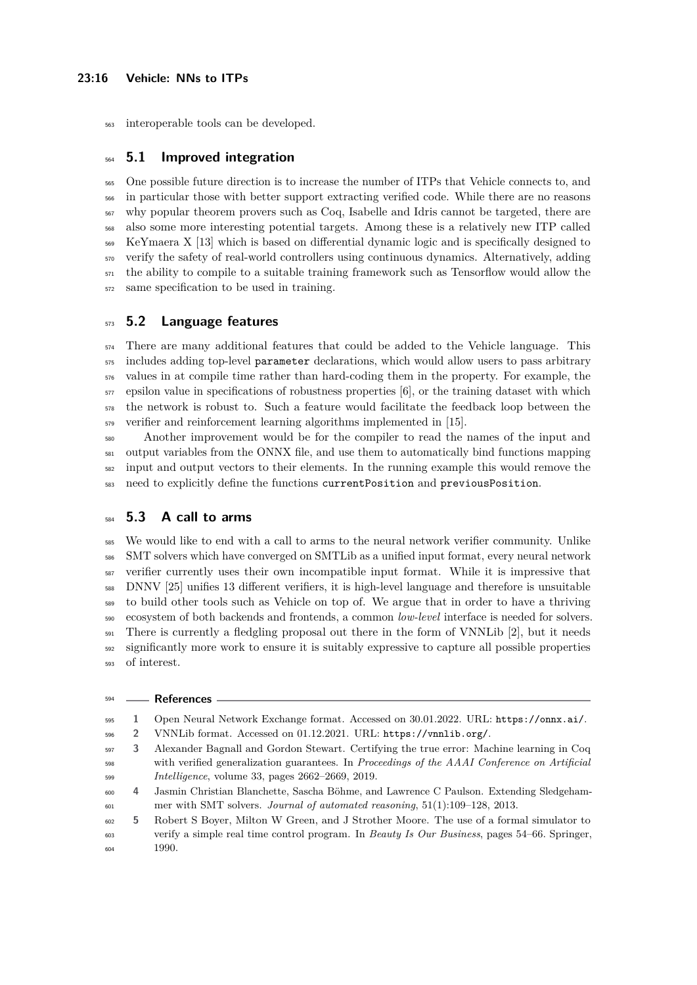interoperable tools can be developed.

# **5.1 Improved integration**

 One possible future direction is to increase the number of ITPs that Vehicle connects to, and in particular those with better support extracting verified code. While there are no reasons why popular theorem provers such as Coq, Isabelle and Idris cannot be targeted, there are also some more interesting potential targets. Among these is a relatively new ITP called KeYmaera X [\[13\]](#page-16-17) which is based on differential dynamic logic and is specifically designed to verify the safety of real-world controllers using continuous dynamics. Alternatively, adding the ability to compile to a suitable training framework such as Tensorflow would allow the same specification to be used in training.

# **5.2 Language features**

 There are many additional features that could be added to the Vehicle language. This <sub>575</sub> includes adding top-level parameter declarations, which would allow users to pass arbitrary values in at compile time rather than hard-coding them in the property. For example, the epsilon value in specifications of robustness properties [\[6\]](#page-16-8), or the training dataset with which the network is robust to. Such a feature would facilitate the feedback loop between the verifier and reinforcement learning algorithms implemented in [\[15\]](#page-16-11).

 Another improvement would be for the compiler to read the names of the input and output variables from the ONNX file, and use them to automatically bind functions mapping input and output vectors to their elements. In the running example this would remove the need to explicitly define the functions currentPosition and previousPosition.

# **5.3 A call to arms**

 We would like to end with a call to arms to the neural network verifier community. Unlike SMT solvers which have converged on SMTLib as a unified input format, every neural network verifier currently uses their own incompatible input format. While it is impressive that DNNV [\[25\]](#page-17-3) unifies 13 different verifiers, it is high-level language and therefore is unsuitable to build other tools such as Vehicle on top of. We argue that in order to have a thriving ecosystem of both backends and frontends, a common *low-level* interface is needed for solvers. <sup>591</sup> There is currently a fledgling proposal out there in the form of VNNLib [\[2\]](#page-15-4), but it needs significantly more work to ensure it is suitably expressive to capture all possible properties of interest.

<span id="page-15-4"></span><span id="page-15-2"></span><span id="page-15-1"></span>

|     |    | <sup>594</sup> — References                                                                  |
|-----|----|----------------------------------------------------------------------------------------------|
| 595 | Ι. | Open Neural Network Exchange format. Accessed on 30.01.2022. URL: https://onnx.ai/.          |
| 596 | 2  | VNNLib format. Accessed on 01.12.2021. URL: https://vnnlib.org/.                             |
| 597 | 3. | Alexander Bagnall and Gordon Stewart. Certifying the true error: Machine learning in Coq     |
| 598 |    | with verified generalization guarantees. In Proceedings of the AAAI Conference on Artificial |
| 599 |    | <i>Intelligence</i> , volume 33, pages 2662-2669, 2019.                                      |
| 600 | 4  | Jasmin Christian Blanchette, Sascha Böhme, and Lawrence C Paulson. Extending Sledgeham-      |
| 601 |    | mer with SMT solvers. <i>Journal of automated reasoning</i> , $51(1):109-128$ , $2013$ .     |

<span id="page-15-3"></span><span id="page-15-0"></span> **5** Robert S Boyer, Milton W Green, and J Strother Moore. The use of a formal simulator to verify a simple real time control program. In *Beauty Is Our Business*, pages 54–66. Springer, 1990.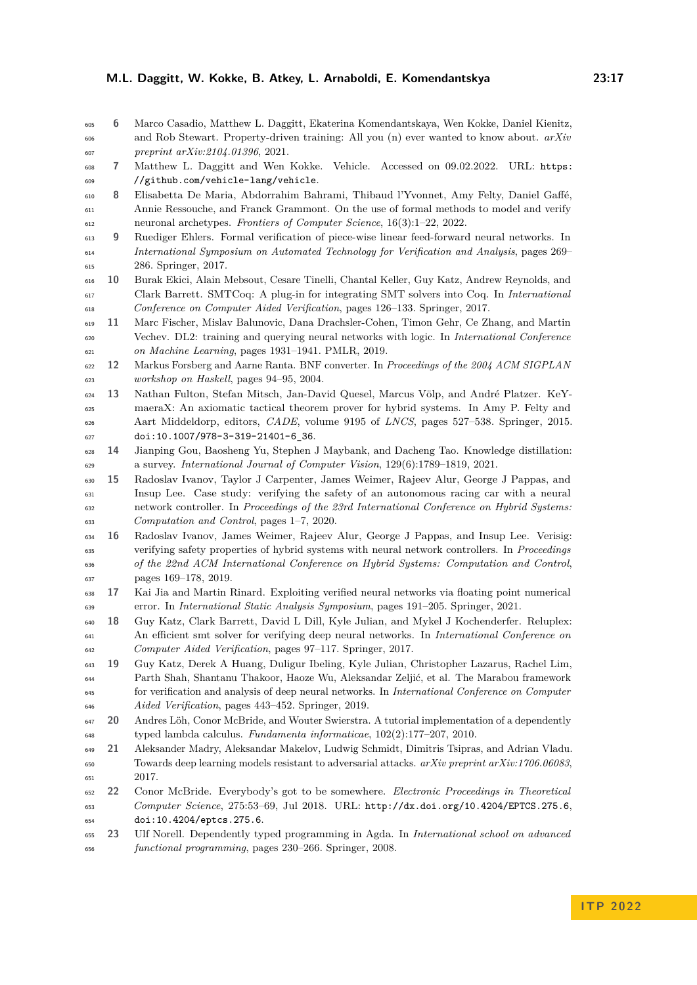#### **M.L. Daggitt, W. Kokke, B. Atkey, L. Arnaboldi, E. Komendantskya 23:17**

<span id="page-16-8"></span> **6** Marco Casadio, Matthew L. Daggitt, Ekaterina Komendantskaya, Wen Kokke, Daniel Kienitz, and Rob Stewart. Property-driven training: All you (n) ever wanted to know about. *arXiv preprint arXiv:2104.01396*, 2021.

<span id="page-16-7"></span> **7** Matthew L. Daggitt and Wen Kokke. Vehicle. Accessed on 09.02.2022. URL: [https:](https://github.com/vehicle-lang/vehicle) [//github.com/vehicle-lang/vehicle](https://github.com/vehicle-lang/vehicle).

<span id="page-16-3"></span> **8** Elisabetta De Maria, Abdorrahim Bahrami, Thibaud l'Yvonnet, Amy Felty, Daniel Gaffé, Annie Ressouche, and Franck Grammont. On the use of formal methods to model and verify neuronal archetypes. *Frontiers of Computer Science*, 16(3):1–22, 2022.

- <span id="page-16-0"></span> **9** Ruediger Ehlers. Formal verification of piece-wise linear feed-forward neural networks. In *International Symposium on Automated Technology for Verification and Analysis*, pages 269– 286. Springer, 2017.
- <span id="page-16-2"></span> **10** Burak Ekici, Alain Mebsout, Cesare Tinelli, Chantal Keller, Guy Katz, Andrew Reynolds, and Clark Barrett. SMTCoq: A plug-in for integrating SMT solvers into Coq. In *International Conference on Computer Aided Verification*, pages 126–133. Springer, 2017.
- <span id="page-16-4"></span> **11** Marc Fischer, Mislav Balunovic, Dana Drachsler-Cohen, Timon Gehr, Ce Zhang, and Martin Vechev. DL2: training and querying neural networks with logic. In *International Conference on Machine Learning*, pages 1931–1941. PMLR, 2019.
- <span id="page-16-14"></span> **12** Markus Forsberg and Aarne Ranta. BNF converter. In *Proceedings of the 2004 ACM SIGPLAN workshop on Haskell*, pages 94–95, 2004.
- <span id="page-16-17"></span> **13** Nathan Fulton, Stefan Mitsch, Jan-David Quesel, Marcus Völp, and André Platzer. KeY- maeraX: An axiomatic tactical theorem prover for hybrid systems. In Amy P. Felty and Aart Middeldorp, editors, *CADE*, volume 9195 of *LNCS*, pages 527–538. Springer, 2015. [doi:10.1007/978-3-319-21401-6\\_36](https://doi.org/10.1007/978-3-319-21401-6_36).
- <span id="page-16-12"></span> **14** Jianping Gou, Baosheng Yu, Stephen J Maybank, and Dacheng Tao. Knowledge distillation: a survey. *International Journal of Computer Vision*, 129(6):1789–1819, 2021.
- <span id="page-16-11"></span> **15** Radoslav Ivanov, Taylor J Carpenter, James Weimer, Rajeev Alur, George J Pappas, and Insup Lee. Case study: verifying the safety of an autonomous racing car with a neural network controller. In *Proceedings of the 23rd International Conference on Hybrid Systems: Computation and Control*, pages 1–7, 2020.
- <span id="page-16-10"></span> **16** Radoslav Ivanov, James Weimer, Rajeev Alur, George J Pappas, and Insup Lee. Verisig: verifying safety properties of hybrid systems with neural network controllers. In *Proceedings of the 22nd ACM International Conference on Hybrid Systems: Computation and Control*, pages 169–178, 2019.
- <span id="page-16-13"></span> **17** Kai Jia and Martin Rinard. Exploiting verified neural networks via floating point numerical error. In *International Static Analysis Symposium*, pages 191–205. Springer, 2021.
- <span id="page-16-9"></span> **18** Guy Katz, Clark Barrett, David L Dill, Kyle Julian, and Mykel J Kochenderfer. Reluplex: An efficient smt solver for verifying deep neural networks. In *International Conference on Computer Aided Verification*, pages 97–117. Springer, 2017.
- <span id="page-16-1"></span> **19** Guy Katz, Derek A Huang, Duligur Ibeling, Kyle Julian, Christopher Lazarus, Rachel Lim, Parth Shah, Shantanu Thakoor, Haoze Wu, Aleksandar Zeljić, et al. The Marabou framework for verification and analysis of deep neural networks. In *International Conference on Computer Aided Verification*, pages 443–452. Springer, 2019.
- <span id="page-16-15"></span> **20** Andres Löh, Conor McBride, and Wouter Swierstra. A tutorial implementation of a dependently typed lambda calculus. *Fundamenta informaticae*, 102(2):177–207, 2010.
- <span id="page-16-5"></span> **21** Aleksander Madry, Aleksandar Makelov, Ludwig Schmidt, Dimitris Tsipras, and Adrian Vladu. Towards deep learning models resistant to adversarial attacks. *arXiv preprint arXiv:1706.06083*, 2017.
- <span id="page-16-16"></span> **22** Conor McBride. Everybody's got to be somewhere. *Electronic Proceedings in Theoretical Computer Science*, 275:53–69, Jul 2018. URL: <http://dx.doi.org/10.4204/EPTCS.275.6>, [doi:10.4204/eptcs.275.6](https://doi.org/10.4204/eptcs.275.6).
- <span id="page-16-6"></span> **23** Ulf Norell. Dependently typed programming in Agda. In *International school on advanced functional programming*, pages 230–266. Springer, 2008.